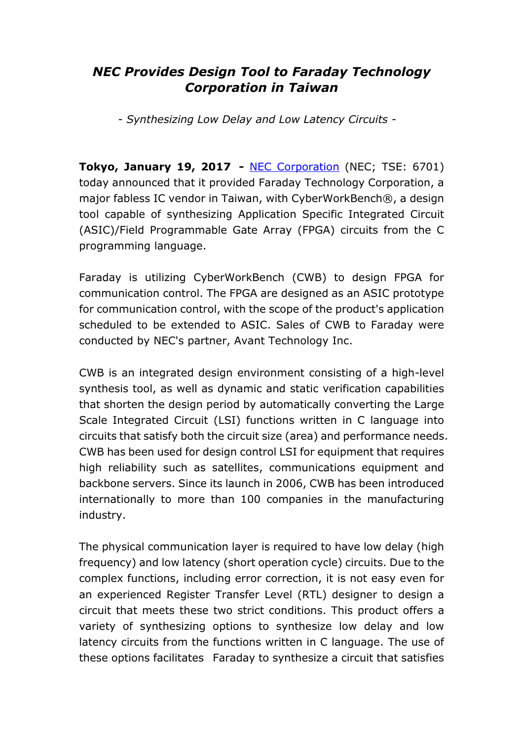## *NEC Provides Design Tool to Faraday Technology Corporation in Taiwan*

*- Synthesizing Low Delay and Low Latency Circuits -*

**Tokyo, January 19, 2017 -** NEC Corporation (NEC; TSE: 6701) today announced that it provided Faraday Technology Corporation, a major fabless IC vendor in Taiwan, with CyberWorkBench®, a design tool capable of synthesizing Application Specific Integrated Circuit (ASIC)/Field Programmable Gate Array (FPGA) circuits from the C programming language.

Faraday is utilizing CyberWorkBench (CWB) to design FPGA for communication control. The FPGA are designed as an ASIC prototype for communication control, with the scope of the product's application scheduled to be extended to ASIC. Sales of CWB to Faraday were conducted by NEC's partner, Avant Technology Inc.

CWB is an integrated design environment consisting of a high-level synthesis tool, as well as dynamic and static verification capabilities that shorten the design period by automatically converting the Large Scale Integrated Circuit (LSI) functions written in C language into circuits that satisfy both the circuit size (area) and performance needs. CWB has been used for design control LSI for equipment that requires high reliability such as satellites, communications equipment and backbone servers. Since its launch in 2006, CWB has been introduced internationally to more than 100 companies in the manufacturing industry.

The physical communication layer is required to have low delay (high frequency) and low latency (short operation cycle) circuits. Due to the complex functions, including error correction, it is not easy even for an experienced Register Transfer Level (RTL) designer to design a circuit that meets these two strict conditions. This product offers a variety of synthesizing options to synthesize low delay and low latency circuits from the functions written in C language. The use of these options facilitates Faraday to synthesize a circuit that satisfies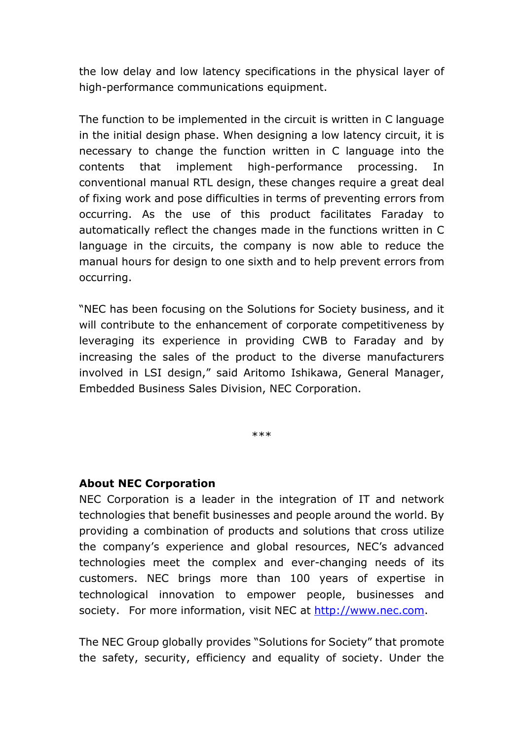the low delay and low latency specifications in the physical layer of high-performance communications equipment.

The function to be implemented in the circuit is written in C language in the initial design phase. When designing a low latency circuit, it is necessary to change the function written in C language into the contents that implement high-performance processing. In conventional manual RTL design, these changes require a great deal of fixing work and pose difficulties in terms of preventing errors from occurring. As the use of this product facilitates Faraday to automatically reflect the changes made in the functions written in C language in the circuits, the company is now able to reduce the manual hours for design to one sixth and to help prevent errors from occurring.

"NEC has been focusing on the Solutions for Society business, and it will contribute to the enhancement of corporate competitiveness by leveraging its experience in providing CWB to Faraday and by increasing the sales of the product to the diverse manufacturers involved in LSI design," said Aritomo Ishikawa, General Manager, Embedded Business Sales Division, NEC Corporation.

\*\*\*

## **About NEC Corporation**

NEC Corporation is a leader in the integration of IT and network technologies that benefit businesses and people around the world. By providing a combination of products and solutions that cross utilize the company's experience and global resources, NEC's advanced technologies meet the complex and ever-changing needs of its customers. NEC brings more than 100 years of expertise in technological innovation to empower people, businesses and society. For more information, visit NEC at http://www.nec.com.

The NEC Group globally provides "Solutions for Society" that promote the safety, security, efficiency and equality of society. Under the